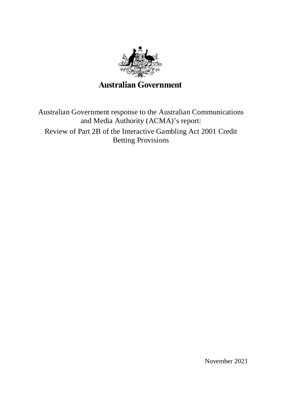

**Australian Government** 

Australian Government response to the Australian Communications and Media Authority (ACMA)'s report:

Review of Part 2B of the Interactive Gambling Act 2001 Credit Betting Provisions

November 2021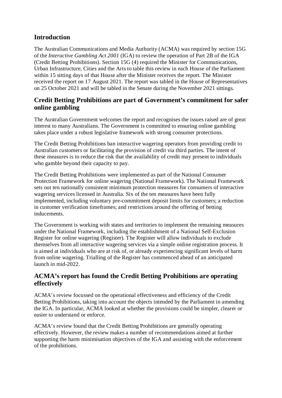## **Introduction**

The Australian Communications and Media Authority (ACMA) was required by section 15G of the *Interactive Gambling Act 2001* (IGA) to review the operation of Part 2B of the IGA (Credit Betting Prohibitions). Section 15G (4) required the Minister for Communications, Urban Infrastructure, Cities and the Arts to table this review in each House of the Parliament within 15 sitting days of that House after the Minister receives the report. The Minister received the report on 17 August 2021. The report was tabled in the House of Representatives on 25 October 2021 and will be tabled in the Senate during the November 2021 sittings.

## **Credit Betting Prohibitions are part of Government's commitment for safer online gambling**

The Australian Government welcomes the report and recognises the issues raised are of great interest to many Australians. The Government is committed to ensuring online gambling takes place under a robust legislative framework with strong consumer protections.

The Credit Betting Prohibitions ban interactive wagering operators from providing credit to Australian customers or facilitating the provision of credit via third parties. The intent of these measures is to reduce the risk that the availability of credit may present to individuals who gamble beyond their capacity to pay.

The Credit Betting Prohibitions were implemented as part of the National Consumer Protection Framework for online wagering (National Framework). The National Framework sets out ten nationally consistent minimum protection measures for consumers of interactive wagering services licensed in Australia. Six of the ten measures have been fully implemented, including voluntary pre-commitment deposit limits for customers; a reduction in customer verification timeframes; and restrictions around the offering of betting inducements.

The Government is working with states and territories to implement the remaining measures under the National Framework, including the establishment of a National Self-Exclusion Register for online wagering (Register). The Register will allow individuals to exclude themselves from all interactive wagering services via a simple online registration process. It is aimed at individuals who are at risk of, or already experiencing significant levels of harm from online wagering. Trialling of the Register has commenced ahead of an anticipated launch in mid-2022.

## **ACMA's report has found the Credit Betting Prohibitions are operating effectively**

ACMA's review focussed on the operational effectiveness and efficiency of the Credit Betting Prohibitions, taking into account the objects intended by the Parliament in amending the IGA. In particular, ACMA looked at whether the provisions could be simpler, clearer or easier to understand or enforce.

ACMA's review found that the Credit Betting Prohibitions are generally operating effectively. However, the review makes a number of recommendations aimed at further supporting the harm minimisation objectives of the IGA and assisting with the enforcement of the prohibitions.